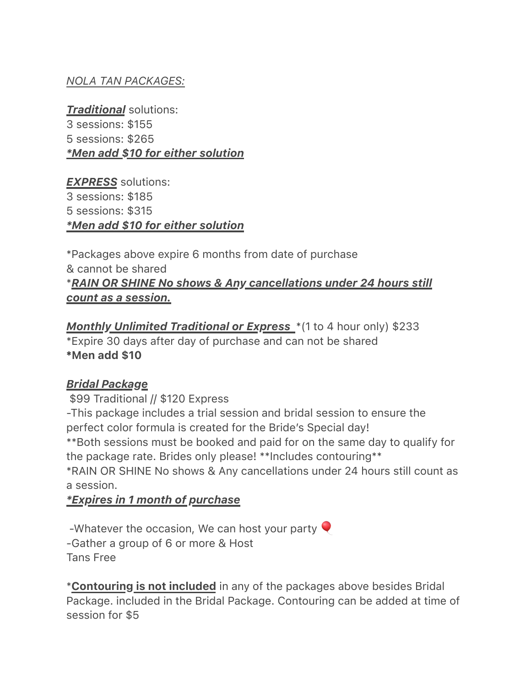### *NOLA TAN PACKAGES:*

*Traditional* solutions: 3 sessions: \$155 5 sessions: \$265 *\*Men add \$10 for either solution*

*EXPRESS* solutions: 3 sessions: \$185 5 sessions: \$315 *\*Men add \$10 for either solution*

\*Packages above expire 6 months from date of purchase & cannot be shared \**RAIN OR SHINE No shows & Any cancellations under 24 hours still count as a session.* 

**Monthly Unlimited Traditional or Express** \*(1 to 4 hour only) \$233 \*Expire 30 days after day of purchase and can not be shared \*Men add \$10

#### *Bridal Package*

\$99 Traditional // \$120 Express -This package includes a trial session and bridal session to ensure the perfect color formula is created for the Bride's Special day! \*\*Both sessions must be booked and paid for on the same day to qualify for the package rate. Brides only please! \*\*Includes contouring\*\* \*RAIN OR SHINE No shows & Any cancellations under 24 hours still count as a session.

#### *\*Expires in 1 month of purchase*

-Whatever the occasion, We can host your party  $\blacktriangledown$ -Gather a group of 6 or more & Host Tans Free

\*Contouring is not included in any of the packages above besides Bridal Package. included in the Bridal Package. Contouring can be added at time of session for \$5